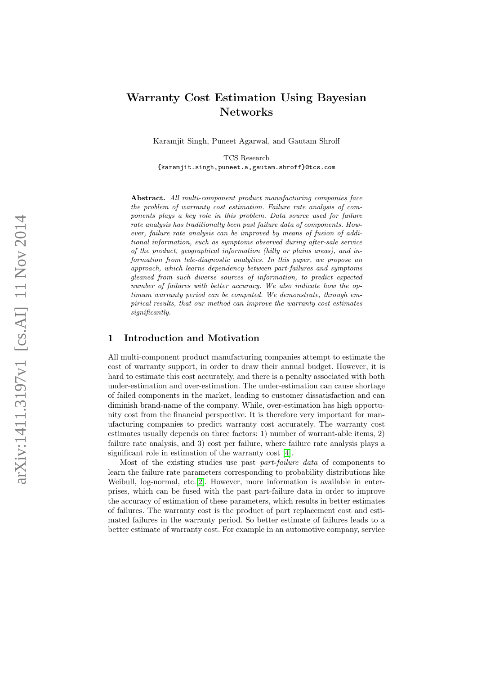# Warranty Cost Estimation Using Bayesian Networks

Karamjit Singh, Puneet Agarwal, and Gautam Shroff

TCS Research {karamjit.singh,puneet.a,gautam.shroff}@tcs.com

Abstract. All multi-component product manufacturing companies face the problem of warranty cost estimation. Failure rate analysis of components plays a key role in this problem. Data source used for failure rate analysis has traditionally been past failure data of components. However, failure rate analysis can be improved by means of fusion of additional information, such as symptoms observed during after-sale service of the product, geographical information (hilly or plains areas), and information from tele-diagnostic analytics. In this paper, we propose an approach, which learns dependency between part-failures and symptoms gleaned from such diverse sources of information, to predict expected number of failures with better accuracy. We also indicate how the optimum warranty period can be computed. We demonstrate, through empirical results, that our method can improve the warranty cost estimates significantly.

# 1 Introduction and Motivation

All multi-component product manufacturing companies attempt to estimate the cost of warranty support, in order to draw their annual budget. However, it is hard to estimate this cost accurately, and there is a penalty associated with both under-estimation and over-estimation. The under-estimation can cause shortage of failed components in the market, leading to customer dissatisfaction and can diminish brand-name of the company. While, over-estimation has high opportunity cost from the financial perspective. It is therefore very important for manufacturing companies to predict warranty cost accurately. The warranty cost estimates usually depends on three factors: 1) number of warrant-able items, 2) failure rate analysis, and 3) cost per failure, where failure rate analysis plays a significant role in estimation of the warranty cost [\[4\]](#page-14-0).

Most of the existing studies use past part-failure data of components to learn the failure rate parameters corresponding to probability distributions like Weibull, log-normal, etc.[\[2\]](#page-14-1). However, more information is available in enterprises, which can be fused with the past part-failure data in order to improve the accuracy of estimation of these parameters, which results in better estimates of failures. The warranty cost is the product of part replacement cost and estimated failures in the warranty period. So better estimate of failures leads to a better estimate of warranty cost. For example in an automotive company, service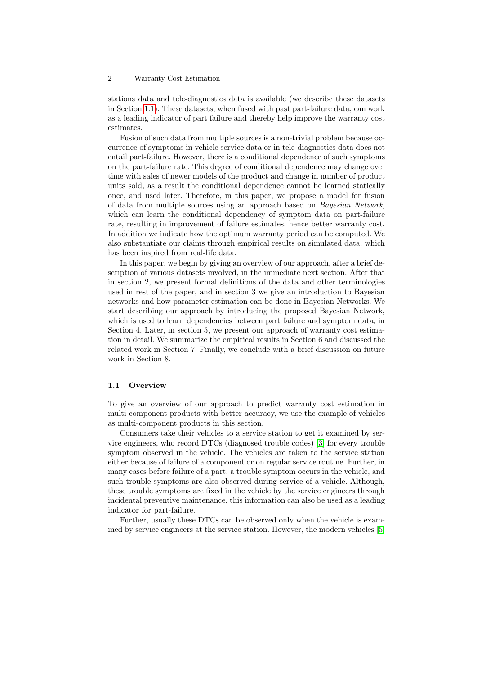stations data and tele-diagnostics data is available (we describe these datasets in Section [1.1\)](#page-1-0). These datasets, when fused with past part-failure data, can work as a leading indicator of part failure and thereby help improve the warranty cost estimates.

Fusion of such data from multiple sources is a non-trivial problem because occurrence of symptoms in vehicle service data or in tele-diagnostics data does not entail part-failure. However, there is a conditional dependence of such symptoms on the part-failure rate. This degree of conditional dependence may change over time with sales of newer models of the product and change in number of product units sold, as a result the conditional dependence cannot be learned statically once, and used later. Therefore, in this paper, we propose a model for fusion of data from multiple sources using an approach based on Bayesian Network, which can learn the conditional dependency of symptom data on part-failure rate, resulting in improvement of failure estimates, hence better warranty cost. In addition we indicate how the optimum warranty period can be computed. We also substantiate our claims through empirical results on simulated data, which has been inspired from real-life data.

In this paper, we begin by giving an overview of our approach, after a brief description of various datasets involved, in the immediate next section. After that in section 2, we present formal definitions of the data and other terminologies used in rest of the paper, and in section 3 we give an introduction to Bayesian networks and how parameter estimation can be done in Bayesian Networks. We start describing our approach by introducing the proposed Bayesian Network, which is used to learn dependencies between part failure and symptom data, in Section 4. Later, in section 5, we present our approach of warranty cost estimation in detail. We summarize the empirical results in Section 6 and discussed the related work in Section 7. Finally, we conclude with a brief discussion on future work in Section 8.

#### <span id="page-1-0"></span>1.1 Overview

To give an overview of our approach to predict warranty cost estimation in multi-component products with better accuracy, we use the example of vehicles as multi-component products in this section.

Consumers take their vehicles to a service station to get it examined by service engineers, who record DTCs (diagnosed trouble codes) [\[3\]](#page-14-2) for every trouble symptom observed in the vehicle. The vehicles are taken to the service station either because of failure of a component or on regular service routine. Further, in many cases before failure of a part, a trouble symptom occurs in the vehicle, and such trouble symptoms are also observed during service of a vehicle. Although, these trouble symptoms are fixed in the vehicle by the service engineers through incidental preventive maintenance, this information can also be used as a leading indicator for part-failure.

Further, usually these DTCs can be observed only when the vehicle is examined by service engineers at the service station. However, the modern vehicles [\[5\]](#page-14-3)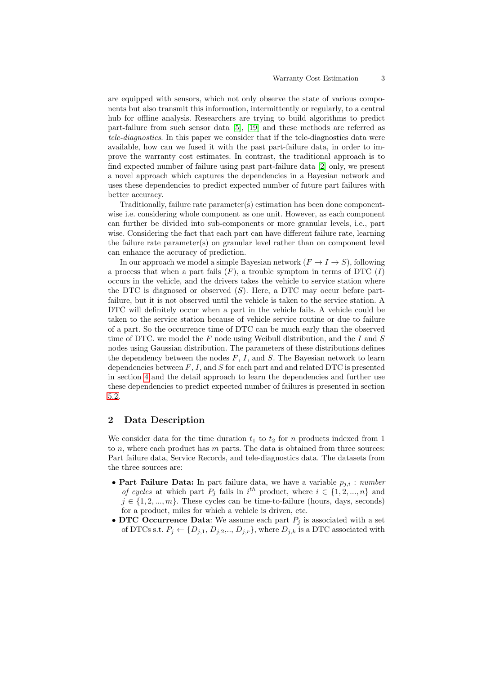are equipped with sensors, which not only observe the state of various components but also transmit this information, intermittently or regularly, to a central hub for offline analysis. Researchers are trying to build algorithms to predict part-failure from such sensor data [\[5\]](#page-14-3), [\[19\]](#page-14-4) and these methods are referred as tele-diagnostics. In this paper we consider that if the tele-diagnostics data were available, how can we fused it with the past part-failure data, in order to improve the warranty cost estimates. In contrast, the traditional approach is to find expected number of failure using past part-failure data [\[2\]](#page-14-1) only, we present a novel approach which captures the dependencies in a Bayesian network and uses these dependencies to predict expected number of future part failures with better accuracy.

Traditionally, failure rate parameter(s) estimation has been done componentwise i.e. considering whole component as one unit. However, as each component can further be divided into sub-components or more granular levels, i.e., part wise. Considering the fact that each part can have different failure rate, learning the failure rate parameter(s) on granular level rather than on component level can enhance the accuracy of prediction.

In our approach we model a simple Bayesian network  $(F \to I \to S)$ , following a process that when a part fails  $(F)$ , a trouble symptom in terms of DTC  $(I)$ occurs in the vehicle, and the drivers takes the vehicle to service station where the DTC is diagnosed or observed  $(S)$ . Here, a DTC may occur before partfailure, but it is not observed until the vehicle is taken to the service station. A DTC will definitely occur when a part in the vehicle fails. A vehicle could be taken to the service station because of vehicle service routine or due to failure of a part. So the occurrence time of DTC can be much early than the observed time of DTC. we model the F node using Weibull distribution, and the I and  $S$ nodes using Gaussian distribution. The parameters of these distributions defines the dependency between the nodes  $F, I$ , and  $S$ . The Bayesian network to learn dependencies between  $F, I$ , and  $S$  for each part and and related DTC is presented in section [4](#page-4-0) and the detail approach to learn the dependencies and further use these dependencies to predict expected number of failures is presented in section [5.2.](#page-9-0)

### <span id="page-2-0"></span>2 Data Description

We consider data for the time duration  $t_1$  to  $t_2$  for n products indexed from 1 to  $n$ , where each product has  $m$  parts. The data is obtained from three sources: Part failure data, Service Records, and tele-diagnostics data. The datasets from the three sources are:

- Part Failure Data: In part failure data, we have a variable  $p_{j,i}$ : number of cycles at which part  $P_j$  fails in  $i^{th}$  product, where  $i \in \{1, 2, ..., n\}$  and  $j \in \{1, 2, ..., m\}$ . These cycles can be time-to-failure (hours, days, seconds) for a product, miles for which a vehicle is driven, etc.
- DTC Occurrence Data: We assume each part  $P_j$  is associated with a set of DTCs s.t.  $P_j \leftarrow \{D_{j,1}, D_{j,2},..., D_{j,r}\}$ , where  $D_{j,k}$  is a DTC associated with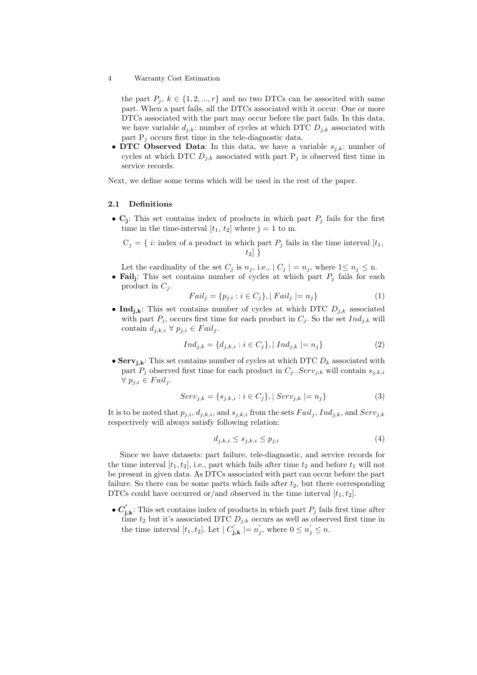the part  $P_j, k \in \{1, 2, ..., r\}$  and no two DTCs can be associted with same part. When a part fails, all the DTCs associated with it occur. One or more DTCs associated with the part may occur before the part fails. In this data, we have variable  $d_{j,k}$ : number of cycles at which DTC  $D_{j,k}$  associated with part  $P_i$  occurs first time in the tele-diagnostic data.

• DTC Observed Data: In this data, we have a variable  $s_{i,k}$ : number of cycles at which DTC  $D_{j,k}$  associated with part  $P_j$  is observed first time in service records.

Next, we define some terms which will be used in the rest of the paper.

#### 2.1 Definitions

•  $\mathbf{C}_j$ : This set contains index of products in which part  $P_j$  fails for the first time in the time-interval  $[t_1, t_2]$  where  $j = 1$  to m.

 $C_j = \{ i: \text{index of a product in which part } P_j \text{ fails in the time interval } [t_1,$  $t_2$ ] }

Let the cardinality of the set  $C_j$  is  $n_j$ , i.e.,  $|C_j| = n_j$ , where  $1 \leq n_j \leq n$ .

• Fail<sub>j</sub>: This set contains number of cycles at which part  $P_j$  fails for each product in  $C_i$ .

$$
Fall_j = \{p_{j,i} : i \in C_j\}, \mid Fall_j \mid = n_j\}
$$
\n(1)

• Ind<sub>j,k</sub>: This set contains number of cycles at which DTC  $D_{j,k}$  associated with part  $P_j$ , occurs first time for each product in  $C_j$ . So the set  $Ind_{j,k}$  will contain  $d_{j,k,i} \ \forall \ p_{j,i} \in \text{Fall}_j$ .

$$
Ind_{j,k} = \{d_{j,k,i} : i \in C_j\}, |Ind_{j,k}| = n_j\}
$$
\n(2)

• Serv<sub>j,k</sub>: This set contains number of cycles at which DTC  $D_k$  associated with part  $P_j$  observed first time for each product in  $C_j$ . Serv<sub>j,k</sub> will contain  $s_{j,k,i}$  $\forall p_{j,i} \in \text{Fall}_j.$ 

$$
Serv_{j,k} = \{s_{j,k,i} : i \in C_j\}, |Serv_{j,k}| = n_j\}
$$
\n(3)

It is to be noted that  $p_{j,i}$ ,  $d_{j,k,i}$ , and  $s_{j,k,i}$  from the sets  $Fail_j$ ,  $Ind_{j,k}$ , and  $Serv_{j,k}$ respectively will always satisfy following relation:

$$
d_{j,k,i} \le s_{j,k,i} \le p_{j,i} \tag{4}
$$

Since we have datasets: part failure, tele-diagnostic, and service records for the time interval  $[t_1, t_2]$ , i.e., part which fails after time  $t_2$  and before  $t_1$  will not be present in given data. As DTCs associated with part can occur before the part failure. So there can be some parts which fails after  $t_2$ , but there corresponding DTCs could have occurred or/and observed in the time interval  $[t_1, t_2]$ .

•  $C'_{j,k}$ : This set contains index of products in which part  $P_j$  fails first time after time  $t_2$  but it's associated DTC  $D_{j,k}$  occurs as well as observed first time in the time interval  $[t_1, t_2]$ . Let  $|C'_{j,k}| = n'_{j}$ , where  $0 \leq n'_{j} \leq n$ .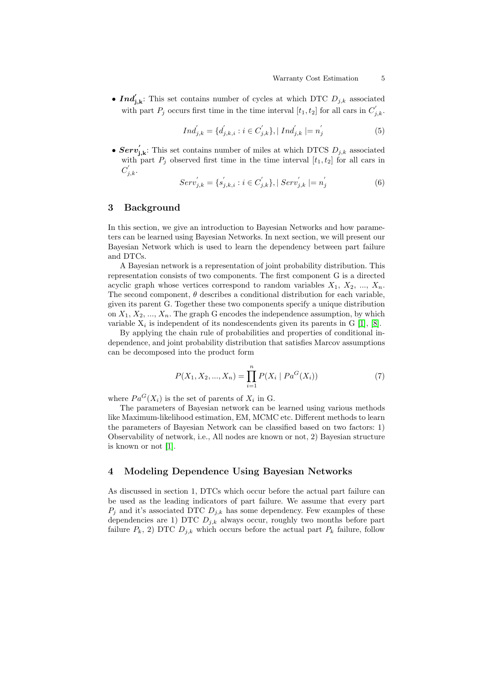• Ind<sub>j,k</sub>: This set contains number of cycles at which DTC  $D_{j,k}$  associated with part  $P_j$  occurs first time in the time interval  $[t_1, t_2]$  for all cars in  $C'_{j,k}$ .

$$
Ind'_{j,k} = \{d'_{j,k,i} : i \in C'_{j,k}\}, |Ind'_{j,k}| = n'_{j}
$$
\n
$$
(5)
$$

•  $Serv'_{j,k}$ : This set contains number of miles at which DTCS  $D_{j,k}$  associated with part  $P_i$  observed first time in the time interval  $[t_1, t_2]$  for all cars in  $C'_{j,k}$ .

$$
Serv'_{j,k} = \{s'_{j,k,i} : i \in C'_{j,k}\}, |Serv'_{j,k}| = n'_{j}
$$
\n(6)

# 3 Background

In this section, we give an introduction to Bayesian Networks and how parameters can be learned using Bayesian Networks. In next section, we will present our Bayesian Network which is used to learn the dependency between part failure and DTCs.

A Bayesian network is a representation of joint probability distribution. This representation consists of two components. The first component G is a directed acyclic graph whose vertices correspond to random variables  $X_1, X_2, ..., X_n$ . The second component,  $\theta$  describes a conditional distribution for each variable, given its parent G. Together these two components specify a unique distribution on  $X_1, X_2, ..., X_n$ . The graph G encodes the independence assumption, by which variable  $X_i$  is independent of its nondescendents given its parents in G [\[1\]](#page-14-5), [\[8\]](#page-14-6).

By applying the chain rule of probabilities and properties of conditional independence, and joint probability distribution that satisfies Marcov assumptions can be decomposed into the product form

$$
P(X_1, X_2, ..., X_n) = \prod_{i=1}^{n} P(X_i \mid Pa^G(X_i))
$$
\n(7)

where  $Pa^G(X_i)$  is the set of parents of  $X_i$  in G.

The parameters of Bayesian network can be learned using various methods like Maximum-likelihood estimation, EM, MCMC etc. Different methods to learn the parameters of Bayesian Network can be classified based on two factors: 1) Observability of network, i.e., All nodes are known or not, 2) Bayesian structure is known or not [\[1\]](#page-14-5).

### <span id="page-4-0"></span>4 Modeling Dependence Using Bayesian Networks

As discussed in section 1, DTCs which occur before the actual part failure can be used as the leading indicators of part failure. We assume that every part  $P_j$  and it's associated DTC  $D_{j,k}$  has some dependency. Few examples of these dependencies are 1) DTC  $D_{j,k}$  always occur, roughly two months before part failure  $P_k$ , 2) DTC  $D_{j,k}$  which occurs before the actual part  $P_k$  failure, follow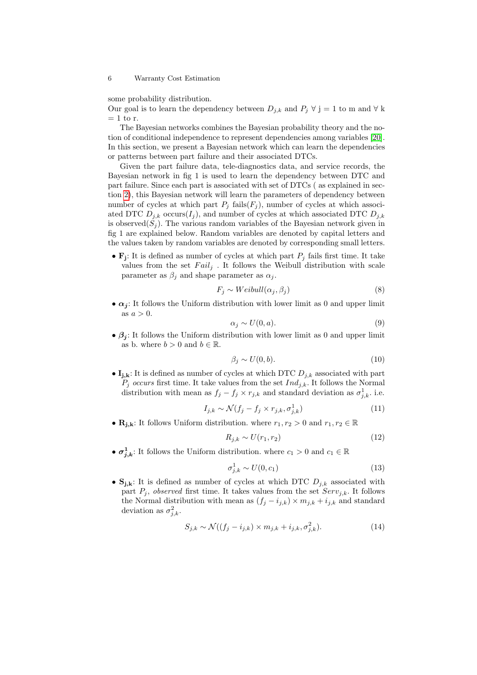some probability distribution.

Our goal is to learn the dependency between  $D_{j,k}$  and  $P_j \forall j = 1$  to m and  $\forall k$  $= 1$  to r.

The Bayesian networks combines the Bayesian probability theory and the notion of conditional independence to represent dependencies among variables [\[20\]](#page-14-7). In this section, we present a Bayesian network which can learn the dependencies or patterns between part failure and their associated DTCs.

Given the part failure data, tele-diagnostics data, and service records, the Bayesian network in fig 1 is used to learn the dependency between DTC and part failure. Since each part is associated with set of DTCs ( as explained in section [2\)](#page-2-0), this Bayesian network will learn the parameters of dependency between number of cycles at which part  $P_j$  fails $(F_j)$ , number of cycles at which associated DTC  $D_{j,k}$  occurs $(I_j)$ , and number of cycles at which associated DTC  $D_{j,k}$ is observed( $S_i$ ). The various random variables of the Bayesian network given in fig 1 are explained below. Random variables are denoted by capital letters and the values taken by random variables are denoted by corresponding small letters.

•  $\mathbf{F}_j$ : It is defined as number of cycles at which part  $P_j$  fails first time. It take values from the set  $Fail_j$ . It follows the Weibull distribution with scale parameter as  $\beta_i$  and shape parameter as  $\alpha_j$ .

$$
F_j \sim Weibull(\alpha_j, \beta_j) \tag{8}
$$

•  $\alpha_i$ : It follows the Uniform distribution with lower limit as 0 and upper limit as  $a > 0$ .

$$
\alpha_j \sim U(0, a). \tag{9}
$$

•  $\beta_i$ : It follows the Uniform distribution with lower limit as 0 and upper limit as b. where  $b > 0$  and  $b \in \mathbb{R}$ .

$$
\beta_j \sim U(0, b). \tag{10}
$$

•  $I_{j,k}$ : It is defined as number of cycles at which DTC  $D_{j,k}$  associated with part  $P_j$  occurs first time. It take values from the set  $Ind_{j,k}$ . It follows the Normal distribution with mean as  $f_j - f_j \times r_{j,k}$  and standard deviation as  $\sigma_{j,k}^1$ . i.e.

$$
I_{j,k} \sim \mathcal{N}(f_j - f_j \times r_{j,k}, \sigma_{j,k}^1) \tag{11}
$$

•  $\mathbf{R}_{j,k}$ : It follows Uniform distribution. where  $r_1, r_2 > 0$  and  $r_1, r_2 \in \mathbb{R}$ 

$$
R_{j,k} \sim U(r_1, r_2) \tag{12}
$$

•  $\sigma_{j,k}^1$ : It follows the Uniform distribution. where  $c_1 > 0$  and  $c_1 \in \mathbb{R}$ 

$$
\sigma_{j,k}^1 \sim U(0, c_1) \tag{13}
$$

•  $S_{j,k}$ : It is defined as number of cycles at which DTC  $D_{j,k}$  associated with part  $P_i$ , observed first time. It takes values from the set  $Serv_{i,k}$ . It follows the Normal distribution with mean as  $(f_j - i_{j,k}) \times m_{j,k} + i_{j,k}$  and standard deviation as  $\sigma_{j,k}^2$ .

$$
S_{j,k} \sim \mathcal{N}((f_j - i_{j,k}) \times m_{j,k} + i_{j,k}, \sigma_{j,k}^2). \tag{14}
$$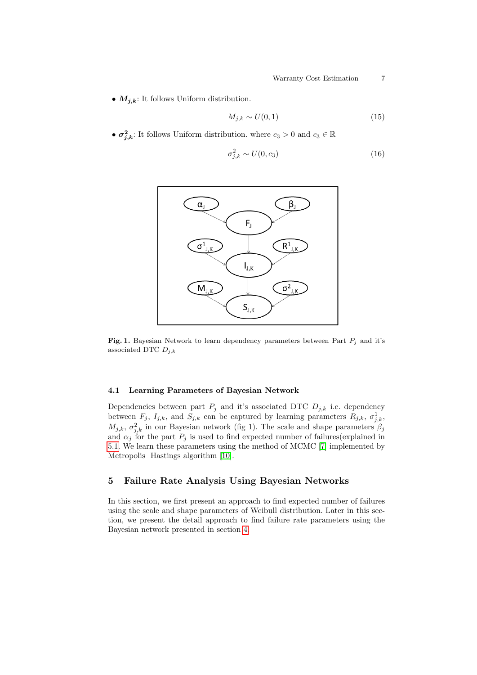•  $M_{j,k}$ : It follows Uniform distribution.

$$
M_{j,k} \sim U(0,1) \tag{15}
$$

•  $\sigma_{j,k}^2$ : It follows Uniform distribution. where  $c_3 > 0$  and  $c_3 \in \mathbb{R}$ 

$$
\sigma_{j,k}^2 \sim U(0, c_3) \tag{16}
$$



Fig. 1. Bayesian Network to learn dependency parameters between Part  $P_j$  and it's associated DTC  $D_{j,k}$ 

#### 4.1 Learning Parameters of Bayesian Network

Dependencies between part  $P_j$  and it's associated DTC  $D_{j,k}$  i.e. dependency between  $F_j$ ,  $I_{j,k}$ , and  $S_{j,k}$  can be captured by learning parameters  $R_{j,k}$ ,  $\sigma_{j,k}^1$  $M_{j,k}, \sigma_{j,k}^2$  in our Bayesian network (fig 1). The scale and shape parameters  $\beta_j$ and  $\alpha_j$  for the part  $P_j$  is used to find expected number of failures(explained in [5.1.](#page-7-0) We learn these parameters using the method of MCMC [\[7\]](#page-14-8) implemented by Metropolis Hastings algorithm [\[10\]](#page-14-9).

# 5 Failure Rate Analysis Using Bayesian Networks

In this section, we first present an approach to find expected number of failures using the scale and shape parameters of Weibull distribution. Later in this section, we present the detail approach to find failure rate parameters using the Bayesian network presented in section [4.](#page-4-0)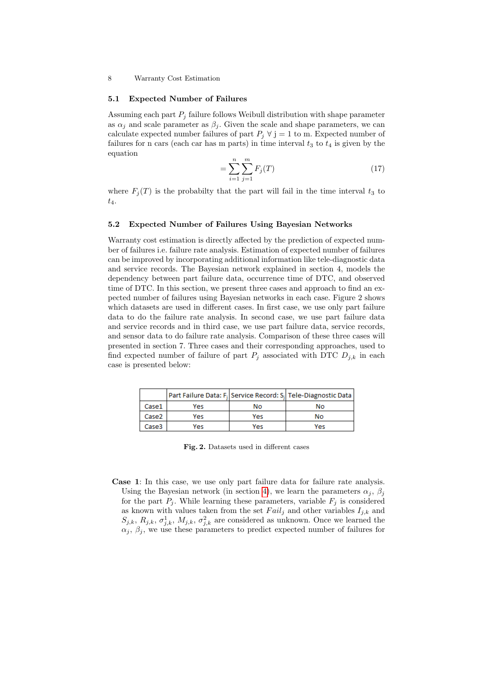#### <span id="page-7-0"></span>5.1 Expected Number of Failures

Assuming each part  $P_j$  failure follows Weibull distribution with shape parameter as  $\alpha_j$  and scale parameter as  $\beta_j$ . Given the scale and shape parameters, we can calculate expected number failures of part  $P_i \forall j = 1$  to m. Expected number of failures for n cars (each car has m parts) in time interval  $t_3$  to  $t_4$  is given by the equation

$$
=\sum_{i=1}^{n}\sum_{j=1}^{m}F_{j}(T)\tag{17}
$$

where  $F_j(T)$  is the probabilty that the part will fail in the time interval  $t_3$  to  $t_4$ .

#### <span id="page-7-1"></span>5.2 Expected Number of Failures Using Bayesian Networks

Warranty cost estimation is directly affected by the prediction of expected number of failures i.e. failure rate analysis. Estimation of expected number of failures can be improved by incorporating additional information like tele-diagnostic data and service records. The Bayesian network explained in section 4, models the dependency between part failure data, occurrence time of DTC, and observed time of DTC. In this section, we present three cases and approach to find an expected number of failures using Bayesian networks in each case. Figure 2 shows which datasets are used in different cases. In first case, we use only part failure data to do the failure rate analysis. In second case, we use part failure data and service records and in third case, we use part failure data, service records, and sensor data to do failure rate analysis. Comparison of these three cases will presented in section 7. Three cases and their corresponding approaches, used to find expected number of failure of part  $P_j$  associated with DTC  $D_{j,k}$  in each case is presented below:

|                   |     |     | Part Failure Data: F <sub>i</sub> Service Record: S <sub>i</sub> Tele-Diagnostic Data |
|-------------------|-----|-----|---------------------------------------------------------------------------------------|
| Case1             | Yes | Nο  | No                                                                                    |
| Case <sub>2</sub> | Yes | Yes | No                                                                                    |
| Case3             | Υρς | Υρς | Υρς                                                                                   |

Fig. 2. Datasets used in different cases

Case 1: In this case, we use only part failure data for failure rate analysis. Using the Bayesian network (in section [4\)](#page-4-0), we learn the parameters  $\alpha_i$ ,  $\beta_i$ for the part  $P_j$ . While learning these parameters, variable  $F_j$  is considered as known with values taken from the set  $Fail_j$  and other variables  $I_{j,k}$  and  $S_{j,k}, R_{j,k}, \sigma_{j,k}^1, M_{j,k}, \sigma_{j,k}^2$  are considered as unknown. Once we learned the  $\alpha_j$ ,  $\beta_j$ , we use these parameters to predict expected number of failures for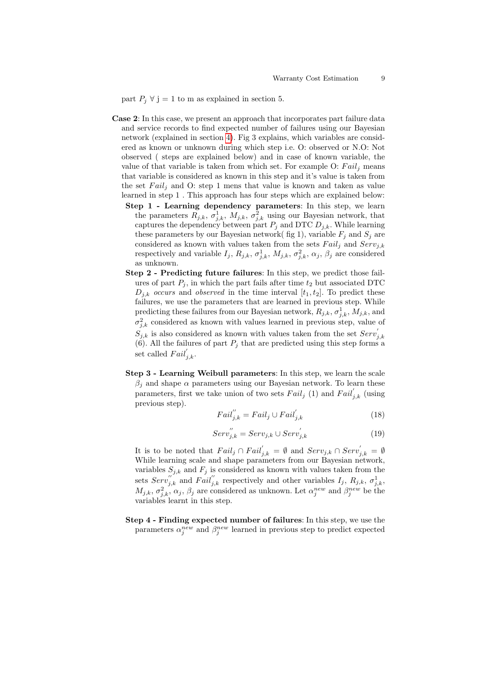part  $P_j \forall j = 1$  to m as explained in section 5.

- Case 2: In this case, we present an approach that incorporates part failure data and service records to find expected number of failures using our Bayesian network (explained in section [4\)](#page-4-0). Fig 3 explains, which variables are considered as known or unknown during which step i.e. O: observed or N.O: Not observed ( steps are explained below) and in case of known variable, the value of that variable is taken from which set. For example O:  $Fail_i$  means that variable is considered as known in this step and it's value is taken from the set  $Fail_i$  and O: step 1 mens that value is known and taken as value learned in step 1 . This approach has four steps which are explained below:
	- Step 1 Learning dependency parameters: In this step, we learn the parameters  $R_{j,k}$ ,  $\sigma_{j,k}^1$ ,  $M_{j,k}$ ,  $\sigma_{j,k}^2$  using our Bayesian network, that captures the dependency between part  $P_j$  and DTC  $D_{j,k}$ . While learning these parameters by our Bayesian network( fig 1), variable  $F_j$  and  $S_j$  are considered as known with values taken from the sets  $Fall_i$  and  $Serv_{i,k}$ respectively and variable  $I_j$ ,  $R_{j,k}$ ,  $\sigma_{j,k}^1$ ,  $M_{j,k}$ ,  $\sigma_{j,k}^2$ ,  $\alpha_j$ ,  $\beta_j$  are considered as unknown.
	- Step 2 Predicting future failures: In this step, we predict those failures of part  $P_i$ , in which the part fails after time  $t_2$  but associated DTC  $D_{j,k}$  occurs and observed in the time interval  $[t_1, t_2]$ . To predict these failures, we use the parameters that are learned in previous step. While predicting these failures from our Bayesian network,  $R_{j,k}$ ,  $\sigma_{j,k}^1$ ,  $M_{j,k}$ , and  $\sigma_{j,k}^2$  considered as known with values learned in previous step, value of  $S_{j,k}$  is also considered as known with values taken from the set  $Serv'_{j,k}$ (6). All the failures of part  $P_j$  that are predicted using this step forms a set called  $Fail'_{j,k}$ .
	- Step 3 Learning Weibull parameters: In this step, we learn the scale  $\beta_j$  and shape  $\alpha$  parameters using our Bayesian network. To learn these parameters, first we take union of two sets  $Fail_j$  (1) and  $Fail'_{j,k}$  (using previous step).

$$
Fail''_{j,k} = Fail_j \cup Fail'_{j,k} \tag{18}
$$

$$
Serv''_{j,k} = Serv_{j,k} \cup Serv'_{j,k}
$$
\n
$$
(19)
$$

It is to be noted that  $\text{Tail}_j \cap \text{Tail}'_{j,k} = \emptyset$  and  $\text{Serv}_{j,k} \cap \text{Serv}'_{j,k} = \emptyset$ While learning scale and shape parameters from our Bayesian network, variables  $S_{j,k}$  and  $F_j$  is considered as known with values taken from the sets  $Serv''_{j,k}$  and  $Fail''_{j,k}$  respectively and other variables  $I_j$ ,  $R_{j,k}$ ,  $\sigma^1_{j,k}$ ,  $M_{j,k}, \sigma_{j,k}^2, \alpha_j, \beta_j$  are considered as unknown. Let  $\alpha_j^{new}$  and  $\beta_j^{new}$  be the variables learnt in this step.

Step 4 - Finding expected number of failures: In this step, we use the parameters  $\alpha_j^{new}$  and  $\beta_j^{new}$  learned in previous step to predict expected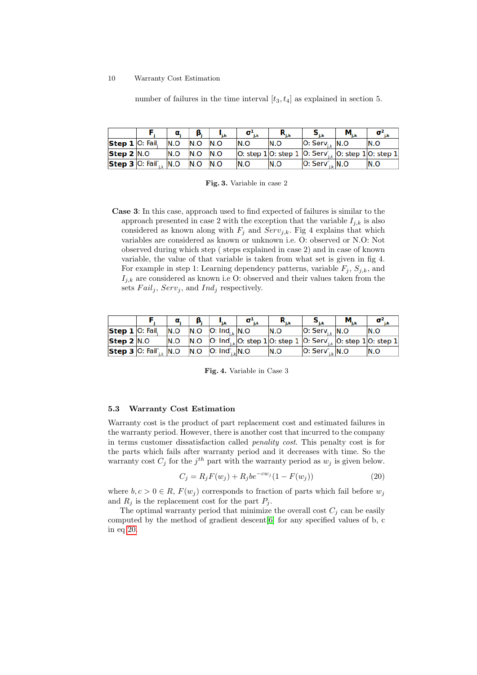|                           |                                                             | α.  | β,          | $\sigma^1_{\phantom{1}i,k}$ | $R_{j,k}$ | $\mathbf{s}_{_{\mathbf{i}\mathbf{k}}}$                        | $M_{_{\rm i,k}}$ | $\sigma_{j,k}^2$ |
|---------------------------|-------------------------------------------------------------|-----|-------------|-----------------------------|-----------|---------------------------------------------------------------|------------------|------------------|
| <b>Step 1</b> $ 0:$ Fail, |                                                             | N.O | $N.O$ $N.O$ | N.O                         | N.O       | O: Serv $_{i,k}$ N.O                                          |                  | N.O              |
| <b>Step 2 N.O</b>         |                                                             | N.O | $N.O$ $N.O$ |                             |           | O: step 1 O: step 1 O: Serv <sub>ik</sub> O: step 1 O: step 1 |                  |                  |
|                           | <b>Step 3</b> $ 0:$ Fail <sup>"</sup> <sub>ik</sub> $ N.0 $ |     | $N.O$ $N.O$ | N.O                         | N.O       | O: Serv $\mathbf{v}_{ik}$ N.O                                 |                  | N.O              |

number of failures in the time interval  $[t_3, t_4]$  as explained in section 5.

Fig. 3. Variable in case 2

Case 3: In this case, approach used to find expected of failures is similar to the approach presented in case 2 with the exception that the variable  $I_{j,k}$  is also considered as known along with  $F_j$  and  $Serv_{j,k}$ . Fig 4 explains that which variables are considered as known or unknown i.e. O: observed or N.O: Not observed during which step ( steps explained in case 2) and in case of known variable, the value of that variable is taken from what set is given in fig 4. For example in step 1: Learning dependency patterns, variable  $F_i$ ,  $S_{i,k}$ , and  $I_{i,k}$  are considered as known i.e O: observed and their values taken from the sets  $Fail_j$ ,  $Serv_j$ , and  $Ind_j$  respectively.

|                 |                                                                                    | $\alpha$ , $\Box$ | β., I |                                | $\sigma^1_{\phantom{1}i,k}$ | $R_{i,k}$                                                                                        | $\mathbf{s}_{_{\mathbf{i}\mathbf{k}}}$ | $M_{_{\text{j},\text{k}}}$ | $\sigma^2$ . |
|-----------------|------------------------------------------------------------------------------------|-------------------|-------|--------------------------------|-----------------------------|--------------------------------------------------------------------------------------------------|----------------------------------------|----------------------------|--------------|
| Step 1 O: Fail, |                                                                                    |                   |       | $N.O$ $N.O$ $ O:Ind_{i,k} N.O$ |                             | N.O                                                                                              | O: Serv <sub>ik</sub> N.O              |                            | N.O          |
| Step $2 \,$ N.O |                                                                                    |                   |       |                                |                             | N.O N.O O: Ind' <sub>ik</sub> O: step 1 O: step 1   O: Serv' <sub>ik</sub> O: step 1   O: step 1 |                                        |                            |              |
|                 | <b>Step 3</b> O: Fail" <sub>ik</sub> $ N.O $ $ N.O $ O: Ind" <sub>ik</sub> $ N.O $ |                   |       |                                |                             | N.O                                                                                              | O: Serv $\mathbf{v}_{ik}$ N.O          |                            | N.O          |

<span id="page-9-0"></span>Fig. 4. Variable in Case 3

#### <span id="page-9-2"></span>5.3 Warranty Cost Estimation

Warranty cost is the product of part replacement cost and estimated failures in the warranty period. However, there is another cost that incurred to the company in terms customer dissatisfaction called penality cost. This penalty cost is for the parts which fails after warranty period and it decreases with time. So the warranty cost  $C_j$  for the  $j<sup>th</sup>$  part with the warranty period as  $w_j$  is given below.

<span id="page-9-1"></span>
$$
C_j = R_j F(w_j) + R_j b e^{-cw_j} (1 - F(w_j))
$$
\n(20)

where  $b, c > 0 \in R$ ,  $F(w_i)$  corresponds to fraction of parts which fail before  $w_i$ and  $R_j$  is the replacement cost for the part  $P_j$ .

The optimal warranty period that minimize the overall cost  $C_j$  can be easily computed by the method of gradient descent[\[6\]](#page-14-10) for any specified values of b, c in eq [20.](#page-9-1)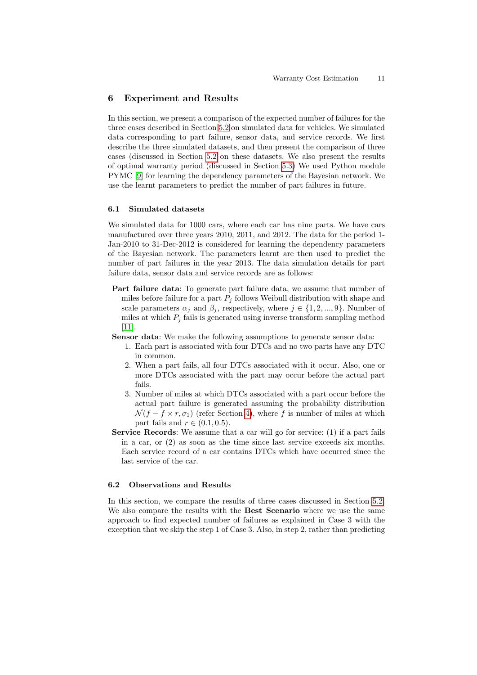### 6 Experiment and Results

In this section, we present a comparison of the expected number of failures for the three cases described in Section [5.2](#page-7-1) on simulated data for vehicles. We simulated data corresponding to part failure, sensor data, and service records. We first describe the three simulated datasets, and then present the comparison of three cases (discussed in Section [5.2](#page-7-1) on these datasets. We also present the results of optimal warranty period (discussed in Section [5.3\)](#page-9-2) We used Python module PYMC [\[9\]](#page-14-11) for learning the dependency parameters of the Bayesian network. We use the learnt parameters to predict the number of part failures in future.

#### 6.1 Simulated datasets

We simulated data for 1000 cars, where each car has nine parts. We have cars manufactured over three years 2010, 2011, and 2012. The data for the period 1- Jan-2010 to 31-Dec-2012 is considered for learning the dependency parameters of the Bayesian network. The parameters learnt are then used to predict the number of part failures in the year 2013. The data simulation details for part failure data, sensor data and service records are as follows:

Part failure data: To generate part failure data, we assume that number of miles before failure for a part  $P_i$  follows Weibull distribution with shape and scale parameters  $\alpha_j$  and  $\beta_j$ , respectively, where  $j \in \{1, 2, ..., 9\}$ . Number of miles at which  $P_j$  fails is generated using inverse transform sampling method [\[11\]](#page-14-12).

Sensor data: We make the following assumptions to generate sensor data:

- 1. Each part is associated with four DTCs and no two parts have any DTC in common.
- 2. When a part fails, all four DTCs associated with it occur. Also, one or more DTCs associated with the part may occur before the actual part fails.
- 3. Number of miles at which DTCs associated with a part occur before the actual part failure is generated assuming the probability distribution  $\mathcal{N}(f - f \times r, \sigma_1)$  (refer Section [4\)](#page-4-0), where f is number of miles at which part fails and  $r \in (0.1, 0.5)$ .
- Service Records: We assume that a car will go for service: (1) if a part fails in a car, or (2) as soon as the time since last service exceeds six months. Each service record of a car contains DTCs which have occurred since the last service of the car.

#### 6.2 Observations and Results

In this section, we compare the results of three cases discussed in Section [5.2.](#page-7-1) We also compare the results with the Best Scenario where we use the same approach to find expected number of failures as explained in Case 3 with the exception that we skip the step 1 of Case 3. Also, in step 2, rather than predicting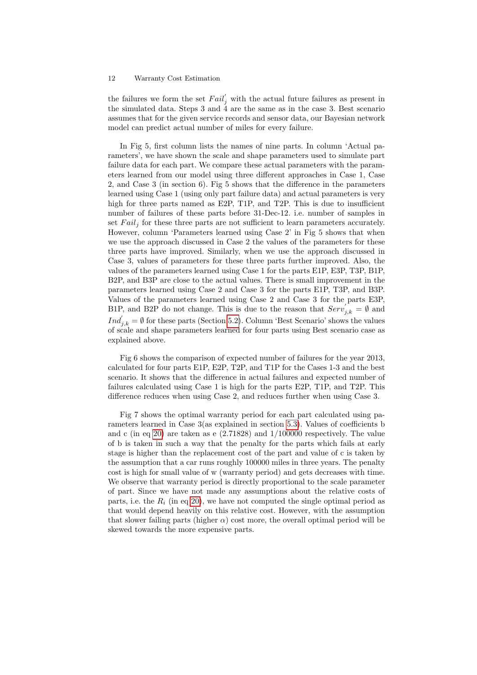the failures we form the set  $Fail'_{j}$  with the actual future failures as present in the simulated data. Steps 3 and  $4$  are the same as in the case 3. Best scenario assumes that for the given service records and sensor data, our Bayesian network model can predict actual number of miles for every failure.

In Fig 5, first column lists the names of nine parts. In column 'Actual parameters', we have shown the scale and shape parameters used to simulate part failure data for each part. We compare these actual parameters with the parameters learned from our model using three different approaches in Case 1, Case 2, and Case 3 (in section 6). Fig 5 shows that the difference in the parameters learned using Case 1 (using only part failure data) and actual parameters is very high for three parts named as E2P, T1P, and T2P. This is due to insufficient number of failures of these parts before 31-Dec-12. i.e. number of samples in set  $Fail_j$  for these three parts are not sufficient to learn parameters accurately. However, column 'Parameters learned using Case 2' in Fig 5 shows that when we use the approach discussed in Case 2 the values of the parameters for these three parts have improved. Similarly, when we use the approach discussed in Case 3, values of parameters for these three parts further improved. Also, the values of the parameters learned using Case 1 for the parts E1P, E3P, T3P, B1P, B2P, and B3P are close to the actual values. There is small improvement in the parameters learned using Case 2 and Case 3 for the parts E1P, T3P, and B3P. Values of the parameters learned using Case 2 and Case 3 for the parts E3P, B1P, and B2P do not change. This is due to the reason that  $Serv'_{j,k} = \emptyset$  and  $Ind'_{j,k} = \emptyset$  for these parts (Section [5.2\)](#page-9-0). Column 'Best Scenario' shows the values of scale and shape parameters learned for four parts using Best scenario case as explained above.

Fig 6 shows the comparison of expected number of failures for the year 2013, calculated for four parts E1P, E2P, T2P, and T1P for the Cases 1-3 and the best scenario. It shows that the difference in actual failures and expected number of failures calculated using Case 1 is high for the parts E2P, T1P, and T2P. This difference reduces when using Case 2, and reduces further when using Case 3.

Fig 7 shows the optimal warranty period for each part calculated using parameters learned in Case 3(as explained in section [5.3\)](#page-9-2). Values of coefficients b and c (in eq [20\)](#page-9-1) are taken as e  $(2.71828)$  and  $1/100000$  respectively. The value of b is taken in such a way that the penalty for the parts which fails at early stage is higher than the replacement cost of the part and value of c is taken by the assumption that a car runs roughly 100000 miles in three years. The penalty cost is high for small value of w (warranty period) and gets decreases with time. We observe that warranty period is directly proportional to the scale parameter of part. Since we have not made any assumptions about the relative costs of parts, i.e. the  $R_i$  (in eq [20\)](#page-9-1), we have not computed the single optimal period as that would depend heavily on this relative cost. However, with the assumption that slower failing parts (higher  $\alpha$ ) cost more, the overall optimal period will be skewed towards the more expensive parts.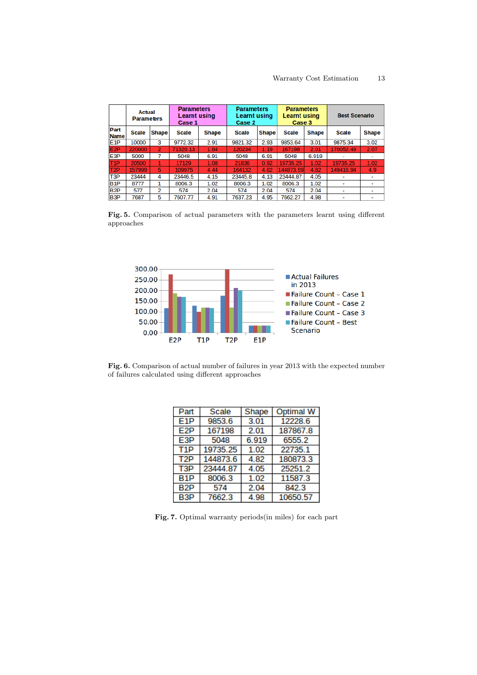|                     | <b>Actual</b><br><b>Parameters</b> |       | <b>Parameters</b><br><b>Learnt using</b><br>Case 1 |              | <b>Parameters</b><br><b>Learnt using</b><br>Case 2 |              | <b>Parameters</b><br><b>Learnt using</b><br>Case 3 |              | <b>Best Scenario</b> |              |
|---------------------|------------------------------------|-------|----------------------------------------------------|--------------|----------------------------------------------------|--------------|----------------------------------------------------|--------------|----------------------|--------------|
| Part<br><b>Name</b> | <b>Scale</b>                       | Shape | <b>Scale</b>                                       | <b>Shape</b> | <b>Scale</b>                                       | <b>Shape</b> | <b>Scale</b>                                       | <b>Shape</b> | <b>Scale</b>         | <b>Shape</b> |
| E <sub>1</sub> P    | 10000                              | 3     | 9772.32                                            | 2.91         | 9821.32                                            | 2.93         | 9853.64                                            | 3.01         | 9875.34              | 3.02         |
| E <sub>2</sub> P    | 220000                             | 2     | 71320.13                                           | 1.84         | 120234                                             | 1.19         | 167198                                             | 2.01         | 170052.49            | 2.07         |
| E3P                 | 5000                               |       | 5048                                               | 6.91         | 5048                                               | 6.91         | 5048                                               | 6.919        |                      | ٠            |
| T1P                 | 20500                              |       | 17129                                              | 1.08         | 21836                                              | 0.92         | 19735.25                                           | 1.02         | 19735.25             | 1.02         |
| T <sub>2</sub> P    | 157999                             | 5     | 109975                                             | 4.44         | 164132                                             | 4.62         | 144873.59                                          | 4.82         | 149416.94            | 4.9          |
| T <sub>3</sub> P    | 23444                              | 4     | 23446.5                                            | 4.15         | 23445.8                                            | 4.13         | 23444.87                                           | 4.05         |                      | ٠            |
| B <sub>1</sub> P    | 8777                               |       | 8006.3                                             | 1.02         | 8006.3                                             | 1.02         | 8006.3                                             | 1.02         |                      | ۰            |
| B <sub>2</sub> P    | 577                                | 2     | 574                                                | 2.04         | 574                                                | 2.04         | 574                                                | 2.04         | ٠                    | ٠            |
| B <sub>3</sub> P    | 7687                               | 5     | 7607.77                                            | 4.91         | 7637.23                                            | 4.95         | 7662.27                                            | 4.98         |                      | ٠            |

Fig. 5. Comparison of actual parameters with the parameters learnt using different approaches



Fig. 6. Comparison of actual number of failures in year 2013 with the expected number of failures calculated using different approaches

| Part             | Scale    | Shape | <b>Optimal W</b> |
|------------------|----------|-------|------------------|
| E <sub>1</sub> P | 9853.6   | 3.01  | 12228.6          |
| E <sub>2</sub> P | 167198   | 2.01  | 187867.8         |
| E3P              | 5048     | 6.919 | 6555.2           |
| T <sub>1</sub> P | 19735.25 | 1.02  | 22735.1          |
| T <sub>2</sub> P | 144873.6 | 4.82  | 180873.3         |
| T3P              | 23444.87 | 4.05  | 25251.2          |
| B <sub>1</sub> P | 8006.3   | 1.02  | 11587.3          |
| B <sub>2</sub> P | 574      | 2.04  | 842.3            |
| B3P              | 7662.3   | 4.98  | 10650.57         |

Fig. 7. Optimal warranty periods(in miles) for each part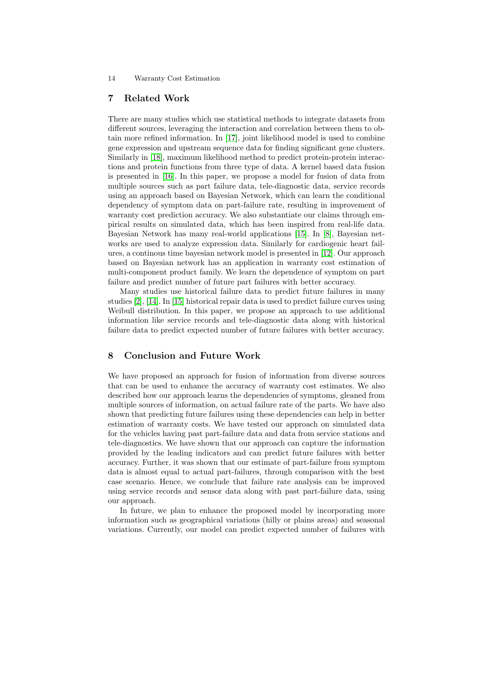# 7 Related Work

There are many studies which use statistical methods to integrate datasets from different sources, leveraging the interaction and correlation between them to obtain more refined information. In [\[17\]](#page-14-13), joint likelihood model is used to combine gene expression and upstream sequence data for finding significant gene clusters. Similarly in [\[18\]](#page-14-14), maximum likelihood method to predict protein-protein interactions and protein functions from three type of data. A kernel based data fusion is presented in [\[16\]](#page-14-15). In this paper, we propose a model for fusion of data from multiple sources such as part failure data, tele-diagnostic data, service records using an approach based on Bayesian Network, which can learn the conditional dependency of symptom data on part-failure rate, resulting in improvement of warranty cost prediction accuracy. We also substantiate our claims through empirical results on simulated data, which has been inspired from real-life data. Bayesian Network has many real-world applications [\[15\]](#page-14-16). In [\[8\]](#page-14-6), Bayesian networks are used to analyze expression data. Similarly for cardiogenic heart failures, a continous time bayesian network model is presented in [\[12\]](#page-14-17). Our approach based on Bayesian network has an application in warranty cost estimation of multi-component product family. We learn the dependence of symptom on part failure and predict number of future part failures with better accuracy.

Many studies use historical failure data to predict future failures in many studies [\[2\]](#page-14-1), [\[14\]](#page-14-18). In [\[15\]](#page-14-16) historical repair data is used to predict failure curves using Weibull distribution. In this paper, we propose an approach to use additional information like service records and tele-diagnostic data along with historical failure data to predict expected number of future failures with better accuracy.

# 8 Conclusion and Future Work

We have proposed an approach for fusion of information from diverse sources that can be used to enhance the accuracy of warranty cost estimates. We also described how our approach learns the dependencies of symptoms, gleaned from multiple sources of information, on actual failure rate of the parts. We have also shown that predicting future failures using these dependencies can help in better estimation of warranty costs. We have tested our approach on simulated data for the vehicles having past part-failure data and data from service stations and tele-diagnostics. We have shown that our approach can capture the information provided by the leading indicators and can predict future failures with better accuracy. Further, it was shown that our estimate of part-failure from symptom data is almost equal to actual part-failures, through comparison with the best case scenario. Hence, we conclude that failure rate analysis can be improved using service records and sensor data along with past part-failure data, using our approach.

In future, we plan to enhance the proposed model by incorporating more information such as geographical variations (hilly or plains areas) and seasonal variations. Currently, our model can predict expected number of failures with